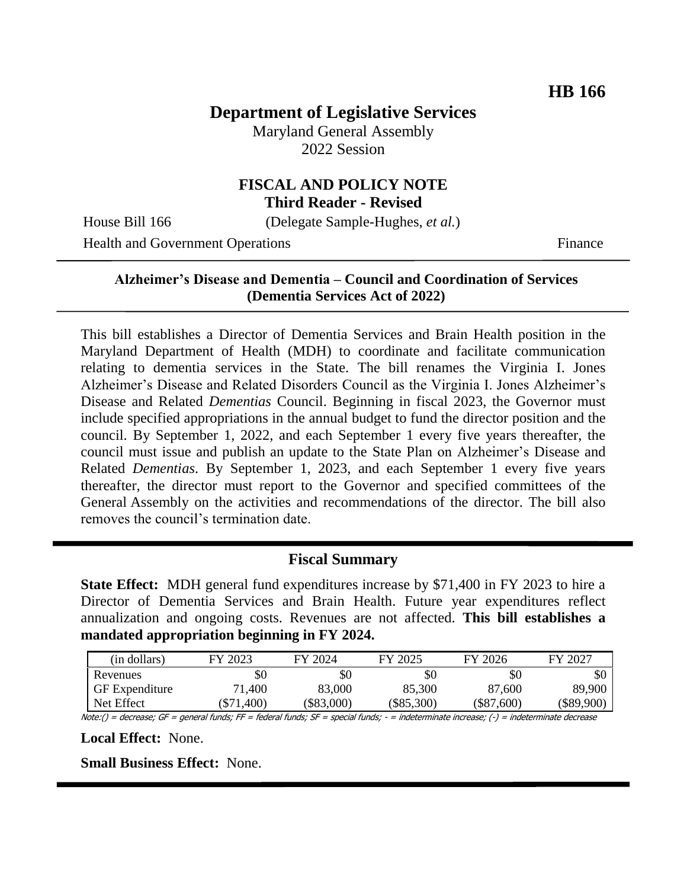# **Department of Legislative Services**

Maryland General Assembly 2022 Session

## **FISCAL AND POLICY NOTE Third Reader - Revised**

House Bill 166 (Delegate Sample-Hughes, *et al.*)

Health and Government Operations Finance

### **Alzheimer's Disease and Dementia – Council and Coordination of Services (Dementia Services Act of 2022)**

This bill establishes a Director of Dementia Services and Brain Health position in the Maryland Department of Health (MDH) to coordinate and facilitate communication relating to dementia services in the State. The bill renames the Virginia I. Jones Alzheimer's Disease and Related Disorders Council as the Virginia I. Jones Alzheimer's Disease and Related *Dementias* Council. Beginning in fiscal 2023, the Governor must include specified appropriations in the annual budget to fund the director position and the council. By September 1, 2022, and each September 1 every five years thereafter, the council must issue and publish an update to the State Plan on Alzheimer's Disease and Related *Dementias*. By September 1, 2023, and each September 1 every five years thereafter, the director must report to the Governor and specified committees of the General Assembly on the activities and recommendations of the director. The bill also removes the council's termination date.

## **Fiscal Summary**

**State Effect:** MDH general fund expenditures increase by \$71,400 in FY 2023 to hire a Director of Dementia Services and Brain Health. Future year expenditures reflect annualization and ongoing costs. Revenues are not affected. **This bill establishes a mandated appropriation beginning in FY 2024.**

| (in dollars)          | FY 2023      | FY 2024      | FY 2025      | FY 2026      | FY 2027    |
|-----------------------|--------------|--------------|--------------|--------------|------------|
| Revenues              | \$0          | \$0          | \$0          | \$0          | \$0        |
| <b>GF</b> Expenditure | 71,400       | 83,000       | 85,300       | 87,600       | 89,900     |
| Net Effect            | $(\$71,400)$ | $(\$83,000)$ | $(\$85,300)$ | $(\$87,600)$ | (\$89,900) |

Note:() = decrease; GF = general funds; FF = federal funds; SF = special funds; - = indeterminate increase; (-) = indeterminate decrease

**Local Effect:** None.

**Small Business Effect:** None.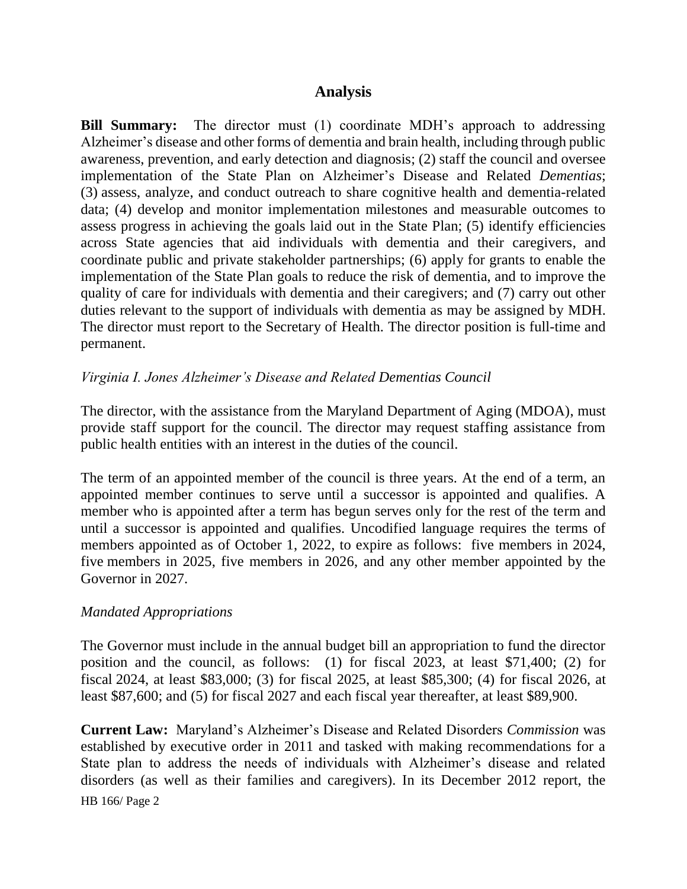## **Analysis**

**Bill Summary:** The director must (1) coordinate MDH's approach to addressing Alzheimer's disease and other forms of dementia and brain health, including through public awareness, prevention, and early detection and diagnosis; (2) staff the council and oversee implementation of the State Plan on Alzheimer's Disease and Related *Dementias*; (3) assess, analyze, and conduct outreach to share cognitive health and dementia-related data; (4) develop and monitor implementation milestones and measurable outcomes to assess progress in achieving the goals laid out in the State Plan; (5) identify efficiencies across State agencies that aid individuals with dementia and their caregivers, and coordinate public and private stakeholder partnerships; (6) apply for grants to enable the implementation of the State Plan goals to reduce the risk of dementia, and to improve the quality of care for individuals with dementia and their caregivers; and (7) carry out other duties relevant to the support of individuals with dementia as may be assigned by MDH. The director must report to the Secretary of Health. The director position is full-time and permanent.

## *Virginia I. Jones Alzheimer's Disease and Related Dementias Council*

The director, with the assistance from the Maryland Department of Aging (MDOA), must provide staff support for the council. The director may request staffing assistance from public health entities with an interest in the duties of the council.

The term of an appointed member of the council is three years. At the end of a term, an appointed member continues to serve until a successor is appointed and qualifies. A member who is appointed after a term has begun serves only for the rest of the term and until a successor is appointed and qualifies. Uncodified language requires the terms of members appointed as of October 1, 2022, to expire as follows: five members in 2024, five members in 2025, five members in 2026, and any other member appointed by the Governor in 2027.

## *Mandated Appropriations*

The Governor must include in the annual budget bill an appropriation to fund the director position and the council, as follows: (1) for fiscal 2023, at least \$71,400; (2) for fiscal 2024, at least \$83,000; (3) for fiscal 2025, at least \$85,300; (4) for fiscal 2026, at least \$87,600; and (5) for fiscal 2027 and each fiscal year thereafter, at least \$89,900.

HB 166/ Page 2 **Current Law:** Maryland's Alzheimer's Disease and Related Disorders *Commission* was established by executive order in 2011 and tasked with making recommendations for a State plan to address the needs of individuals with Alzheimer's disease and related disorders (as well as their families and caregivers). In its December 2012 report, the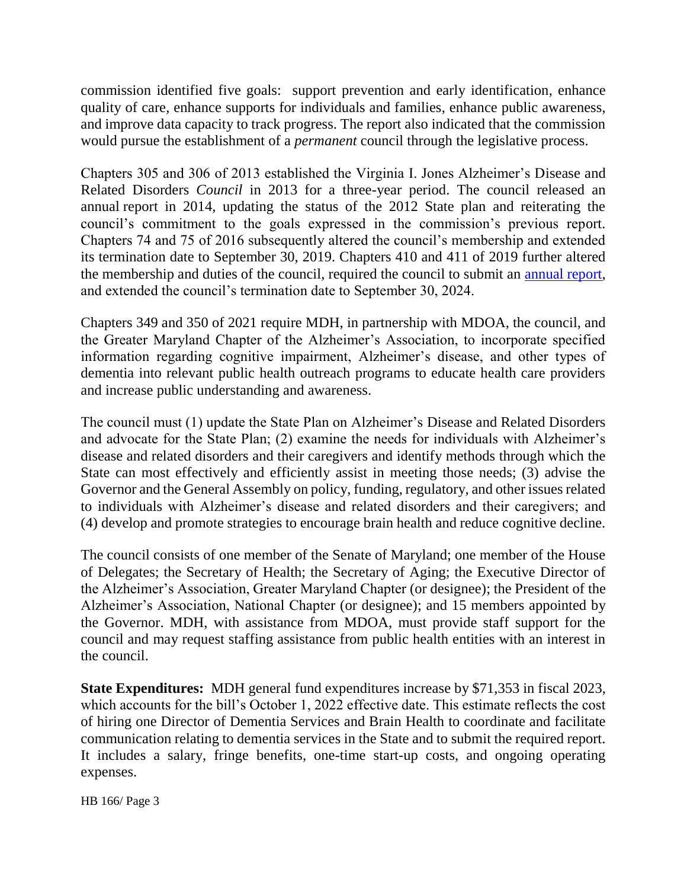commission identified five goals: support prevention and early identification, enhance quality of care, enhance supports for individuals and families, enhance public awareness, and improve data capacity to track progress. The report also indicated that the commission would pursue the establishment of a *permanent* council through the legislative process.

Chapters 305 and 306 of 2013 established the Virginia I. Jones Alzheimer's Disease and Related Disorders *Council* in 2013 for a three-year period. The council released an annual report in 2014, updating the status of the 2012 State plan and reiterating the council's commitment to the goals expressed in the commission's previous report. Chapters 74 and 75 of 2016 subsequently altered the council's membership and extended its termination date to September 30, 2019. Chapters 410 and 411 of 2019 further altered the membership and duties of the council, required the council to submit an [annual report,](http://dlslibrary.state.md.us/publications/Exec/MDH/HG13-3207_2021.pdf) and extended the council's termination date to September 30, 2024.

Chapters 349 and 350 of 2021 require MDH, in partnership with MDOA, the council, and the Greater Maryland Chapter of the Alzheimer's Association, to incorporate specified information regarding cognitive impairment, Alzheimer's disease, and other types of dementia into relevant public health outreach programs to educate health care providers and increase public understanding and awareness.

The council must (1) update the State Plan on Alzheimer's Disease and Related Disorders and advocate for the State Plan; (2) examine the needs for individuals with Alzheimer's disease and related disorders and their caregivers and identify methods through which the State can most effectively and efficiently assist in meeting those needs; (3) advise the Governor and the General Assembly on policy, funding, regulatory, and other issues related to individuals with Alzheimer's disease and related disorders and their caregivers; and (4) develop and promote strategies to encourage brain health and reduce cognitive decline.

The council consists of one member of the Senate of Maryland; one member of the House of Delegates; the Secretary of Health; the Secretary of Aging; the Executive Director of the Alzheimer's Association, Greater Maryland Chapter (or designee); the President of the Alzheimer's Association, National Chapter (or designee); and 15 members appointed by the Governor. MDH, with assistance from MDOA, must provide staff support for the council and may request staffing assistance from public health entities with an interest in the council.

**State Expenditures:** MDH general fund expenditures increase by \$71,353 in fiscal 2023, which accounts for the bill's October 1, 2022 effective date. This estimate reflects the cost of hiring one Director of Dementia Services and Brain Health to coordinate and facilitate communication relating to dementia services in the State and to submit the required report. It includes a salary, fringe benefits, one-time start-up costs, and ongoing operating expenses.

HB 166/ Page 3